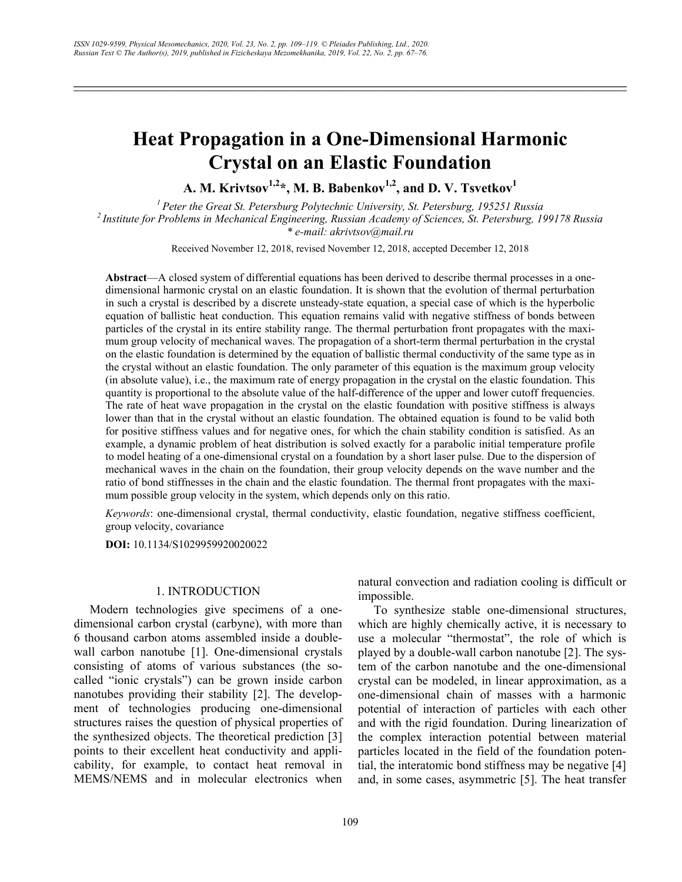# **Heat Propagation in a One-Dimensional Harmonic Crystal on an Elastic Foundation**

A. M. Krivtsov<sup>1,2\*</sup>, M. B. Babenkov<sup>1,2</sup>, and D. V. Tsvetkov<sup>1</sup>

*1 Peter the Great St. Petersburg Polytechnic University, St. Petersburg, 195251 Russia 2 Institute for Problems in Mechanical Engineering, Russian Academy of Sciences, St. Petersburg, 199178 Russia \* e-mail: akrivtsov@mail.ru* 

Received November 12, 2018, revised November 12, 2018, accepted December 12, 2018

**Abstract**—A closed system of differential equations has been derived to describe thermal processes in a onedimensional harmonic crystal on an elastic foundation. It is shown that the evolution of thermal perturbation in such a crystal is described by a discrete unsteady-state equation, a special case of which is the hyperbolic equation of ballistic heat conduction. This equation remains valid with negative stiffness of bonds between particles of the crystal in its entire stability range. The thermal perturbation front propagates with the maximum group velocity of mechanical waves. The propagation of a short-term thermal perturbation in the crystal on the elastic foundation is determined by the equation of ballistic thermal conductivity of the same type as in the crystal without an elastic foundation. The only parameter of this equation is the maximum group velocity (in absolute value), i.e., the maximum rate of energy propagation in the crystal on the elastic foundation. This quantity is proportional to the absolute value of the half-difference of the upper and lower cutoff frequencies. The rate of heat wave propagation in the crystal on the elastic foundation with positive stiffness is always lower than that in the crystal without an elastic foundation. The obtained equation is found to be valid both for positive stiffness values and for negative ones, for which the chain stability condition is satisfied. As an example, a dynamic problem of heat distribution is solved exactly for a parabolic initial temperature profile to model heating of a one-dimensional crystal on a foundation by a short laser pulse. Due to the dispersion of mechanical waves in the chain on the foundation, their group velocity depends on the wave number and the ratio of bond stiffnesses in the chain and the elastic foundation. The thermal front propagates with the maximum possible group velocity in the system, which depends only on this ratio.

*Keywords*: one-dimensional crystal, thermal conductivity, elastic foundation, negative stiffness coefficient, group velocity, covariance

**DOI:** 10.1134/S1029959920020022

## 1. INTRODUCTION

Modern technologies give specimens of a onedimensional carbon crystal (carbyne), with more than 6 thousand carbon atoms assembled inside a doublewall carbon nanotube [1]. One-dimensional crystals consisting of atoms of various substances (the socalled "ionic crystals") can be grown inside carbon nanotubes providing their stability [2]. The development of technologies producing one-dimensional structures raises the question of physical properties of the synthesized objects. The theoretical prediction [3] points to their excellent heat conductivity and applicability, for example, to contact heat removal in MEMS/NEMS and in molecular electronics when

natural convection and radiation cooling is difficult or impossible.

To synthesize stable one-dimensional structures, which are highly chemically active, it is necessary to use a molecular "thermostat", the role of which is played by a double-wall carbon nanotube [2]. The system of the carbon nanotube and the one-dimensional crystal can be modeled, in linear approximation, as a one-dimensional chain of masses with a harmonic potential of interaction of particles with each other and with the rigid foundation. During linearization of the complex interaction potential between material particles located in the field of the foundation potential, the interatomic bond stiffness may be negative [4] and, in some cases, asymmetric [5]. The heat transfer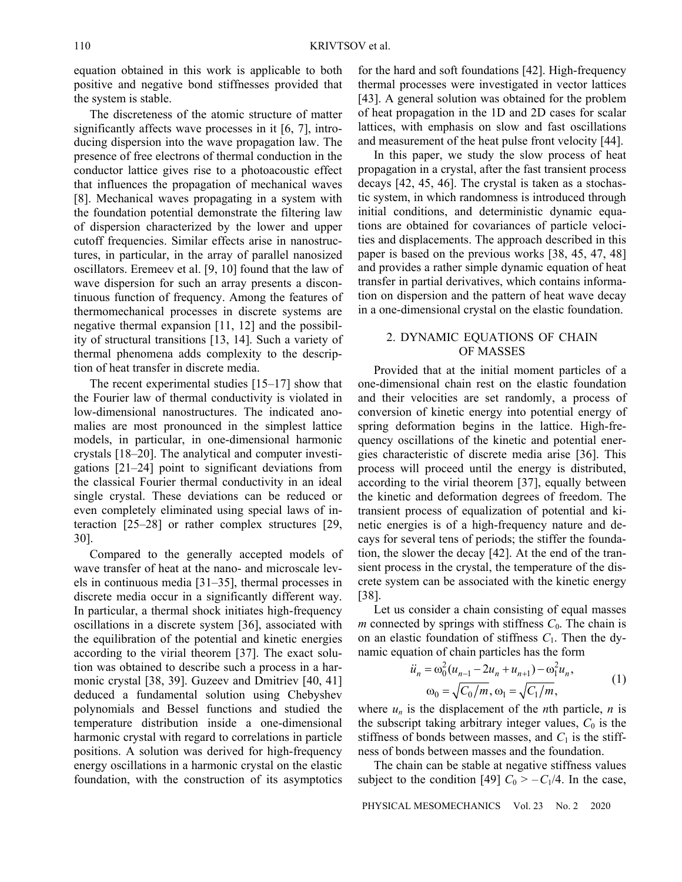equation obtained in this work is applicable to both positive and negative bond stiffnesses provided that the system is stable.

The discreteness of the atomic structure of matter significantly affects wave processes in it [6, 7], introducing dispersion into the wave propagation law. The presence of free electrons of thermal conduction in the conductor lattice gives rise to a photoacoustic effect that influences the propagation of mechanical waves [8]. Mechanical waves propagating in a system with the foundation potential demonstrate the filtering law of dispersion characterized by the lower and upper cutoff frequencies. Similar effects arise in nanostructures, in particular, in the array of parallel nanosized oscillators. Eremeev et al. [9, 10] found that the law of wave dispersion for such an array presents a discontinuous function of frequency. Among the features of thermomechanical processes in discrete systems are negative thermal expansion [11, 12] and the possibility of structural transitions [13, 14]. Such a variety of thermal phenomena adds complexity to the description of heat transfer in discrete media.

The recent experimental studies [15–17] show that the Fourier law of thermal conductivity is violated in low-dimensional nanostructures. The indicated anomalies are most pronounced in the simplest lattice models, in particular, in one-dimensional harmonic crystals [18–20]. The analytical and computer investigations [21–24] point to significant deviations from the classical Fourier thermal conductivity in an ideal single crystal. These deviations can be reduced or even completely eliminated using special laws of interaction [25–28] or rather complex structures [29, 30].

Compared to the generally accepted models of wave transfer of heat at the nano- and microscale levels in continuous media [31–35], thermal processes in discrete media occur in a significantly different way. In particular, a thermal shock initiates high-frequency oscillations in a discrete system [36], associated with the equilibration of the potential and kinetic energies according to the virial theorem [37]. The exact solution was obtained to describe such a process in a harmonic crystal [38, 39]. Guzeev and Dmitriev [40, 41] deduced a fundamental solution using Chebyshev polynomials and Bessel functions and studied the temperature distribution inside a one-dimensional harmonic crystal with regard to correlations in particle positions. A solution was derived for high-frequency energy oscillations in a harmonic crystal on the elastic foundation, with the construction of its asymptotics

for the hard and soft foundations [42]. High-frequency thermal processes were investigated in vector lattices [43]. A general solution was obtained for the problem of heat propagation in the 1D and 2D cases for scalar lattices, with emphasis on slow and fast oscillations and measurement of the heat pulse front velocity [44].

In this paper, we study the slow process of heat propagation in a crystal, after the fast transient process decays [42, 45, 46]. The crystal is taken as a stochastic system, in which randomness is introduced through initial conditions, and deterministic dynamic equations are obtained for covariances of particle velocities and displacements. The approach described in this paper is based on the previous works [38, 45, 47, 48] and provides a rather simple dynamic equation of heat transfer in partial derivatives, which contains information on dispersion and the pattern of heat wave decay in a one-dimensional crystal on the elastic foundation.

## 2. DYNAMIC EQUATIONS OF CHAIN OF MASSES

Provided that at the initial moment particles of a one-dimensional chain rest on the elastic foundation and their velocities are set randomly, a process of conversion of kinetic energy into potential energy of spring deformation begins in the lattice. High-frequency oscillations of the kinetic and potential energies characteristic of discrete media arise [36]. This process will proceed until the energy is distributed, according to the virial theorem [37], equally between the kinetic and deformation degrees of freedom. The transient process of equalization of potential and kinetic energies is of a high-frequency nature and decays for several tens of periods; the stiffer the foundation, the slower the decay [42]. At the end of the transient process in the crystal, the temperature of the discrete system can be associated with the kinetic energy [38].

Let us consider a chain consisting of equal masses *m* connected by springs with stiffness  $C_0$ . The chain is on an elastic foundation of stiffness  $C_1$ . Then the dynamic equation of chain particles has the form

$$
\ddot{u}_n = \omega_0^2 (u_{n-1} - 2u_n + u_{n+1}) - \omega_1^2 u_n,
$$
  
\n
$$
\omega_0 = \sqrt{C_0/m}, \omega_1 = \sqrt{C_1/m},
$$
\n(1)

where  $u_n$  is the displacement of the *n*th particle, *n* is the subscript taking arbitrary integer values,  $C_0$  is the stiffness of bonds between masses, and  $C_1$  is the stiffness of bonds between masses and the foundation.

The chain can be stable at negative stiffness values subject to the condition [49]  $C_0 > -C_1/4$ . In the case,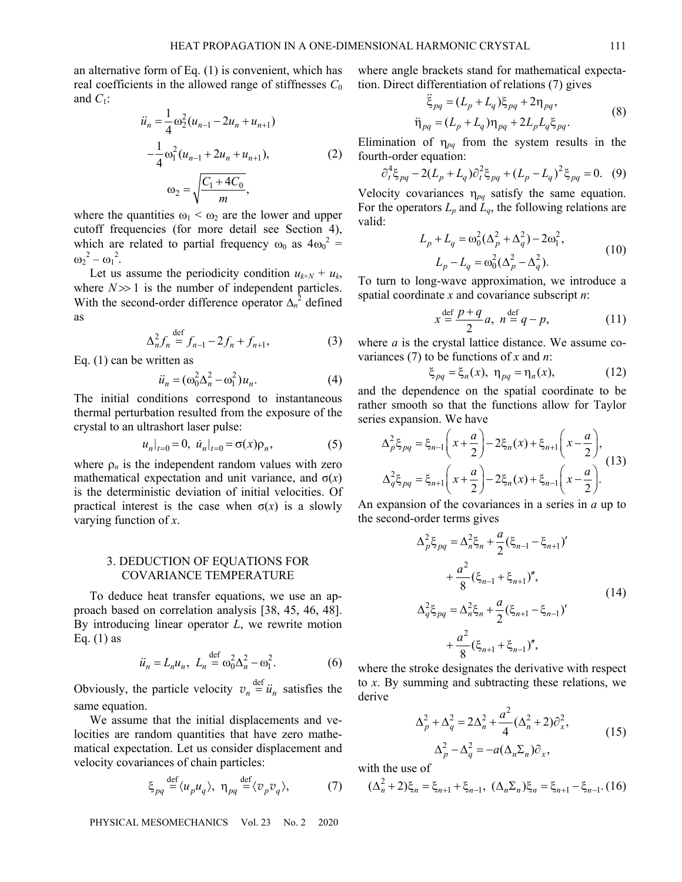an alternative form of Eq. (1) is convenient, which has real coefficients in the allowed range of stiffnesses  $C_0$ and  $C_1$ :

$$
\ddot{u}_n = \frac{1}{4} \omega_2^2 (u_{n-1} - 2u_n + u_{n+1})
$$
  
\n
$$
-\frac{1}{4} \omega_1^2 (u_{n-1} + 2u_n + u_{n+1}),
$$
  
\n
$$
\omega_2 = \sqrt{\frac{C_1 + 4C_0}{m}},
$$
\n(2)

where the quantities  $\omega_1 < \omega_2$  are the lower and upper cutoff frequencies (for more detail see Section 4), which are related to partial frequency  $\omega_0$  as  $4\omega_0^2$  =  $\omega_2^2 - \omega_1^2$ .

Let us assume the periodicity condition  $u_{k+N} + u_k$ , where  $N \gg 1$  is the number of independent particles. With the second-order difference operator  $\Delta_n^2$  defined as

$$
\Delta_n^2 f_n \stackrel{\text{def}}{=} f_{n-1} - 2f_n + f_{n+1},\tag{3}
$$

Eq. (1) can be written as

$$
\ddot{u}_n = (\omega_0^2 \Delta_n^2 - \omega_1^2) u_n. \tag{4}
$$

The initial conditions correspond to instantaneous thermal perturbation resulted from the exposure of the crystal to an ultrashort laser pulse:

$$
u_n|_{t=0} = 0, \ \dot{u}_n|_{t=0} = \sigma(x)\rho_n, \tag{5}
$$

where  $\rho_n$  is the independent random values with zero mathematical expectation and unit variance, and  $\sigma(x)$ is the deterministic deviation of initial velocities. Of practical interest is the case when  $\sigma(x)$  is a slowly varying function of *x*.

## 3. DEDUCTION OF EQUATIONS FOR COVARIANCE TEMPERATURE

To deduce heat transfer equations, we use an approach based on correlation analysis [38, 45, 46, 48]. By introducing linear operator *L*, we rewrite motion Eq.  $(1)$  as

$$
\ddot{u}_n = L_n u_n, \ L_n \stackrel{\text{def}}{=} \omega_0^2 \Delta_n^2 - \omega_1^2. \tag{6}
$$

Obviously, the particle velocity  $v_n \stackrel{\text{def}}{=} \ddot{u}_n$  satisfies the same equation.

We assume that the initial displacements and velocities are random quantities that have zero mathematical expectation. Let us consider displacement and velocity covariances of chain particles:

$$
\xi_{pq} \stackrel{\text{def}}{=} \langle u_p u_q \rangle, \ \eta_{pq} \stackrel{\text{def}}{=} \langle v_p v_q \rangle,\tag{7}
$$

PHYSICAL MESOMECHANICS Vol. 23 No. 2 2020

where angle brackets stand for mathematical expectation. Direct differentiation of relations (7) gives

$$
\ddot{\xi}_{pq} = (L_p + L_q)\xi_{pq} + 2\eta_{pq},
$$
\n
$$
\ddot{\eta}_{pq} = (L_p + L_q)\eta_{pq} + 2L_pL_q\xi_{pq}.
$$
\n(8)

Elimination of  $\eta_{pq}$  from the system results in the fourth-order equation:

$$
\partial_t^4 \xi_{pq} - 2(L_p + L_q) \partial_t^2 \xi_{pq} + (L_p - L_q)^2 \xi_{pq} = 0. \tag{9}
$$

Velocity covariances  $\eta_{pq}$  satisfy the same equation. For the operators  $L_p$  and  $\bar{L}_q$ , the following relations are valid:

$$
L_p + L_q = \omega_0^2 (\Delta_p^2 + \Delta_q^2) - 2\omega_1^2,
$$
  
\n
$$
L_p - L_q = \omega_0^2 (\Delta_p^2 - \Delta_q^2).
$$
 (10)

To turn to long-wave approximation, we introduce a spatial coordinate *x* and covariance subscript *n*:

$$
x \stackrel{\text{def}}{=} \frac{p+q}{2}a, \; n \stackrel{\text{def}}{=} q-p,\tag{11}
$$

where *a* is the crystal lattice distance. We assume covariances (7) to be functions of *x* and *n*:

$$
\xi_{pq} = \xi_n(x), \ \eta_{pq} = \eta_n(x), \tag{12}
$$

and the dependence on the spatial coordinate to be rather smooth so that the functions allow for Taylor series expansion. We have

$$
\Delta_p^2 \xi_{pq} = \xi_{n-1} \left( x + \frac{a}{2} \right) - 2 \xi_n(x) + \xi_{n+1} \left( x - \frac{a}{2} \right),
$$
  

$$
\Delta_q^2 \xi_{pq} = \xi_{n+1} \left( x + \frac{a}{2} \right) - 2 \xi_n(x) + \xi_{n-1} \left( x - \frac{a}{2} \right).
$$
 (13)

An expansion of the covariances in a series in *a* up to the second-order terms gives

$$
\Delta_p^2 \xi_{pq} = \Delta_n^2 \xi_n + \frac{a}{2} (\xi_{n-1} - \xi_{n+1})'
$$
  
+ 
$$
\frac{a^2}{8} (\xi_{n-1} + \xi_{n+1})'',
$$
  

$$
\Delta_q^2 \xi_{pq} = \Delta_n^2 \xi_n + \frac{a}{2} (\xi_{n+1} - \xi_{n-1})'
$$
  
+ 
$$
\frac{a^2}{8} (\xi_{n+1} + \xi_{n-1})'',
$$
 (14)

where the stroke designates the derivative with respect to *x*. By summing and subtracting these relations, we derive

$$
\Delta_p^2 + \Delta_q^2 = 2\Delta_n^2 + \frac{a^2}{4}(\Delta_n^2 + 2)\partial_x^2,
$$
  

$$
\Delta_p^2 - \Delta_q^2 = -a(\Delta_n \Sigma_n)\partial_x,
$$
 (15)

with the use of

$$
(\Delta_n^2 + 2)\xi_n = \xi_{n+1} + \xi_{n-1}, \ (\Delta_n \Sigma_n)\xi_n = \xi_{n+1} - \xi_{n-1}.\ (16)
$$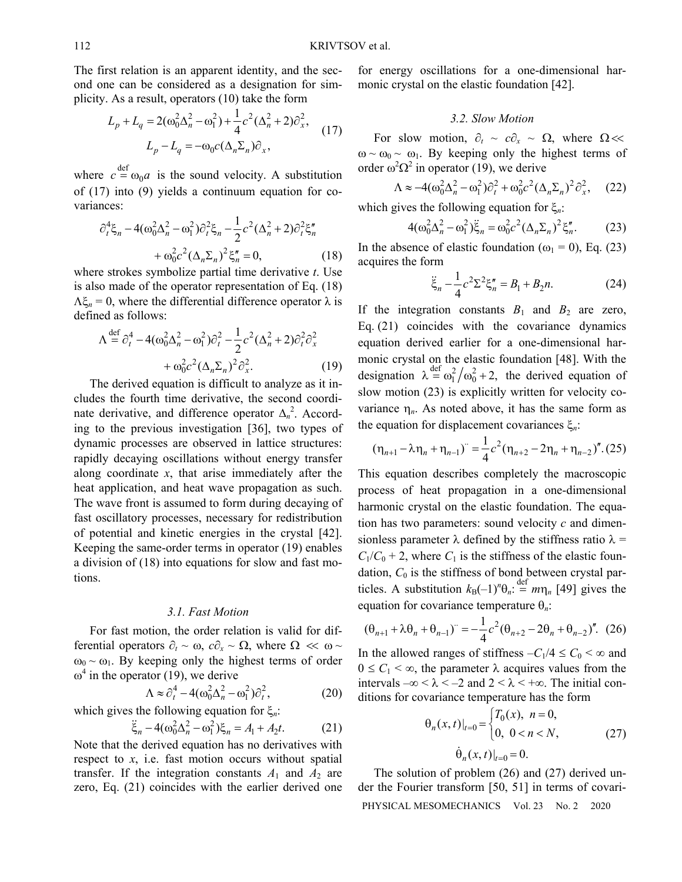The first relation is an apparent identity, and the second one can be considered as a designation for simplicity. As a result, operators (10) take the form

$$
L_p + L_q = 2(\omega_0^2 \Delta_n^2 - \omega_1^2) + \frac{1}{4}c^2(\Delta_n^2 + 2)\partial_x^2,
$$
  

$$
L_p - L_q = -\omega_0 c(\Delta_n \Sigma_n)\partial_x,
$$
 (17)

where  $c \stackrel{\text{def}}{=} \omega_0 a$  is the sound velocity. A substitution of (17) into (9) yields a continuum equation for covariances:

$$
\partial_t^4 \xi_n - 4(\omega_0^2 \Delta_n^2 - \omega_1^2) \partial_t^2 \xi_n - \frac{1}{2} c^2 (\Delta_n^2 + 2) \partial_t^2 \xi_n'' + \omega_0^2 c^2 (\Delta_n \Sigma_n)^2 \xi_n'' = 0,
$$
\n(18)

where strokes symbolize partial time derivative *t*. Use is also made of the operator representation of Eq. (18)  $\Lambda \xi_n = 0$ , where the differential difference operator  $\lambda$  is defined as follows:

$$
\Lambda \stackrel{\text{def}}{=} \partial_t^4 - 4(\omega_0^2 \Delta_n^2 - \omega_1^2) \partial_t^2 - \frac{1}{2} c^2 (\Delta_n^2 + 2) \partial_t^2 \partial_x^2
$$

$$
+ \omega_0^2 c^2 (\Delta_n \Sigma_n)^2 \partial_x^2.
$$
 (19)

The derived equation is difficult to analyze as it includes the fourth time derivative, the second coordinate derivative, and difference operator  $\Delta_n^2$ . According to the previous investigation [36], two types of dynamic processes are observed in lattice structures: rapidly decaying oscillations without energy transfer along coordinate *x*, that arise immediately after the heat application, and heat wave propagation as such. The wave front is assumed to form during decaying of fast oscillatory processes, necessary for redistribution of potential and kinetic energies in the crystal [42]. Keeping the same-order terms in operator (19) enables a division of (18) into equations for slow and fast motions.

#### *3.1. Fast Motion*

For fast motion, the order relation is valid for differential operators  $\partial_t \sim \omega$ ,  $c\partial_x \sim \Omega$ , where  $\Omega \ll \omega \sim$  $\omega_0 \sim \omega_1$ . By keeping only the highest terms of order  $\omega^4$  in the operator (19), we derive

$$
\Lambda \approx \partial_t^4 - 4(\omega_0^2 \Delta_n^2 - \omega_1^2) \partial_t^2, \tag{20}
$$

which gives the following equation for  $\xi_n$ :

$$
\ddot{\xi}_n - 4(\omega_0^2 \Delta_n^2 - \omega_1^2) \xi_n = A_1 + A_2 t. \tag{21}
$$

Note that the derived equation has no derivatives with respect to *x*, i.e. fast motion occurs without spatial transfer. If the integration constants  $A_1$  and  $A_2$  are zero, Eq. (21) coincides with the earlier derived one for energy oscillations for a one-dimensional harmonic crystal on the elastic foundation [42].

## *3.2. Slow Motion*

For slow motion,  $\partial_t \sim c\partial_x \sim \Omega$ , where  $\Omega \ll$  $\omega \sim \omega_0 \sim \omega_1$ . By keeping only the highest terms of order  $\omega^2 \Omega^2$  in operator (19), we derive

$$
\Lambda \approx -4(\omega_0^2 \Delta_n^2 - \omega_1^2) \partial_t^2 + \omega_0^2 c^2 (\Delta_n \Sigma_n)^2 \partial_x^2, \quad (22)
$$

which gives the following equation for  $\xi_n$ :

$$
4(\omega_0^2 \Delta_n^2 - \omega_1^2) \ddot{\xi}_n = \omega_0^2 c^2 (\Delta_n \Sigma_n)^2 \xi_n''.
$$
 (23)

In the absence of elastic foundation ( $\omega_1 = 0$ ), Eq. (23) acquires the form

$$
\ddot{\xi}_n - \frac{1}{4}c^2 \Sigma^2 \xi''_n = B_1 + B_2 n. \tag{24}
$$

If the integration constants  $B_1$  and  $B_2$  are zero, Eq. (21) coincides with the covariance dynamics equation derived earlier for a one-dimensional harmonic crystal on the elastic foundation [48]. With the designation  $\lambda = \omega_1^2 / \omega_0^2 + 2$ , the derived equation of slow motion (23) is explicitly written for velocity covariance  $\eta_n$ . As noted above, it has the same form as the equation for displacement covariances  $\xi_n$ :

$$
(\eta_{n+1} - \lambda \eta_n + \eta_{n-1})^{\cdot} = \frac{1}{4} c^2 (\eta_{n+2} - 2\eta_n + \eta_{n-2})^{\prime\prime} . (25)
$$

This equation describes completely the macroscopic process of heat propagation in a one-dimensional harmonic crystal on the elastic foundation. The equation has two parameters: sound velocity *c* and dimensionless parameter  $\lambda$  defined by the stiffness ratio  $\lambda$  =  $C_1/C_0 + 2$ , where  $C_1$  is the stiffness of the elastic foundation,  $C_0$  is the stiffness of bond between crystal particles. A substitution  $k_{\text{B}}(-1)^n \theta_n = m \eta_n$  [49] gives the equation for covariance temperature *n*:

$$
(\theta_{n+1} + \lambda \theta_n + \theta_{n-1})^{\cdot} = -\frac{1}{4}c^2(\theta_{n+2} - 2\theta_n + \theta_{n-2})^{\prime}. (26)
$$

In the allowed ranges of stiffness  $-C_1/4 \leq C_0 < \infty$  and  $0 \le C_1 < \infty$ , the parameter  $\lambda$  acquires values from the intervals  $-\infty < \lambda < -2$  and  $2 < \lambda < +\infty$ . The initial conditions for covariance temperature has the form

$$
\Theta_n(x, t)|_{t=0} = \begin{cases} T_0(x), & n = 0, \\ 0, & 0 < n < N, \end{cases}
$$
 (27)  

$$
\dot{\Theta}_n(x, t)|_{t=0} = 0.
$$

PHYSICAL MESOMECHANICS Vol. 23 No. 2 2020 The solution of problem (26) and (27) derived under the Fourier transform [50, 51] in terms of covari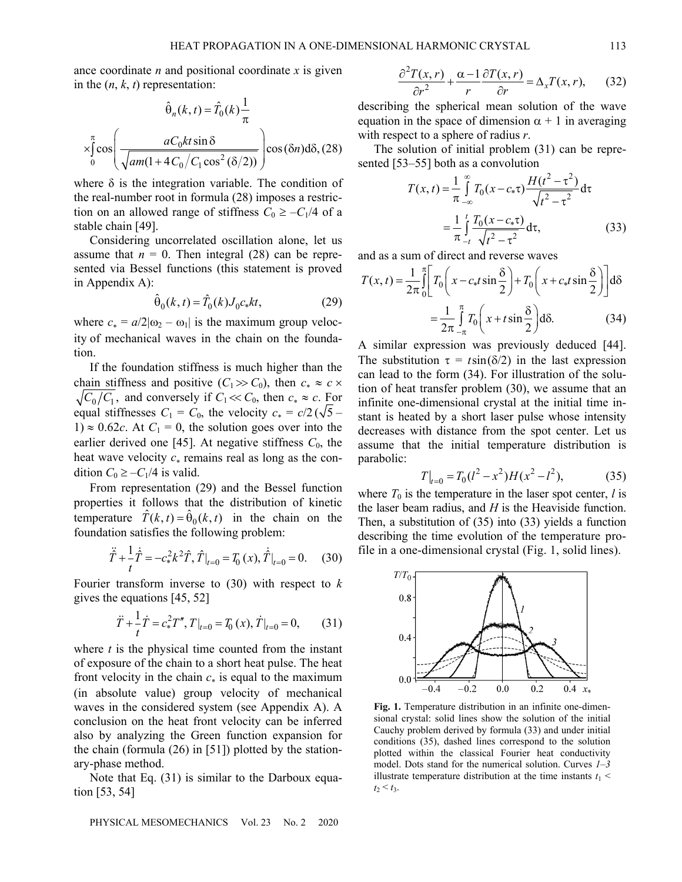ance coordinate *n* and positional coordinate *x* is given in the  $(n, k, t)$  representation:

$$
\hat{\theta}_n(k, t) = \hat{T}_0(k) \frac{1}{\pi}
$$
  
\n
$$
\times \int_0^\pi \cos\left(\frac{aC_0kt\sin\delta}{\sqrt{am(1+4C_0/C_1\cos^2(\delta/2))}}\right) \cos(\delta n) d\delta, (28)
$$

where  $\delta$  is the integration variable. The condition of the real-number root in formula (28) imposes a restriction on an allowed range of stiffness  $C_0 \ge -C_1/4$  of a stable chain [49].

Considering uncorrelated oscillation alone, let us assume that  $n = 0$ . Then integral (28) can be represented via Bessel functions (this statement is proved in Appendix A):

$$
\hat{\theta}_0(k,t) = \hat{T}_0(k)J_0c_*kt,
$$
\n(29)

where  $c_* = a/2|\omega_2 - \omega_1|$  is the maximum group velocity of mechanical waves in the chain on the foundation.

If the foundation stiffness is much higher than the chain stiffness and positive  $(C_1 \gg C_0)$ , then  $c_* \approx c \times C_0$  $\sqrt{C_0/C_1}$ , and conversely if  $C_1 \ll C_0$ , then  $c_* \approx c$ . For equal stiffnesses  $C_1 = C_0$ , the velocity  $c_* = c/2$  ( $\sqrt{5}$  –  $1) \approx 0.62c$ . At  $C_1 = 0$ , the solution goes over into the earlier derived one [45]. At negative stiffness  $C_0$ , the heat wave velocity  $c_*$  remains real as long as the condition  $C_0 \geq -C_1/4$  is valid.

From representation (29) and the Bessel function properties it follows that the distribution of kinetic temperature  $T(k, t) = \theta_0(k, t)$  in the chain on the foundation satisfies the following problem:

$$
\ddot{\hat{T}} + \frac{1}{t}\dot{\hat{T}} = -c_*^2 k^2 \hat{T}, \hat{T}|_{t=0} = T_0(x), \dot{\hat{T}}|_{t=0} = 0.
$$
 (30)

Fourier transform inverse to (30) with respect to *k* gives the equations [45, 52]

$$
\ddot{T} + \frac{1}{t}\dot{T} = c_*^2 T'', \left.T\right|_{t=0} = T_0(x), \left.\dot{T}\right|_{t=0} = 0,\qquad(31)
$$

where *t* is the physical time counted from the instant of exposure of the chain to a short heat pulse. The heat front velocity in the chain  $c_*$  is equal to the maximum (in absolute value) group velocity of mechanical waves in the considered system (see Appendix A). A conclusion on the heat front velocity can be inferred also by analyzing the Green function expansion for the chain (formula (26) in [51]) plotted by the stationary-phase method.

Note that Eq. (31) is similar to the Darboux equation [53, 54]

$$
\frac{\partial^2 T(x,r)}{\partial r^2} + \frac{\alpha - 1}{r} \frac{\partial T(x,r)}{\partial r} = \Delta_x T(x,r), \quad (32)
$$

describing the spherical mean solution of the wave equation in the space of dimension  $\alpha + 1$  in averaging with respect to a sphere of radius *r*.

The solution of initial problem (31) can be represented [53–55] both as a convolution

$$
T(x,t) = \frac{1}{\pi} \int_{-\infty}^{\infty} T_0(x - c_* \tau) \frac{H(t^2 - \tau^2)}{\sqrt{t^2 - \tau^2}} d\tau
$$
  
= 
$$
\frac{1}{\pi} \int_{-t}^{t} \frac{T_0(x - c_* \tau)}{\sqrt{t^2 - \tau^2}} d\tau,
$$
 (33)

and as a sum of direct and reverse waves

$$
T(x,t) = \frac{1}{2\pi} \int_{0}^{\pi} \left[ T_0 \left( x - c_* t \sin \frac{\delta}{2} \right) + T_0 \left( x + c_* t \sin \frac{\delta}{2} \right) \right] d\delta
$$

$$
= \frac{1}{2\pi} \int_{-\pi}^{\pi} T_0 \left( x + t \sin \frac{\delta}{2} \right) d\delta. \tag{34}
$$

A similar expression was previously deduced [44]. The substitution  $\tau = t \sin(\delta/2)$  in the last expression can lead to the form (34). For illustration of the solution of heat transfer problem (30), we assume that an infinite one-dimensional crystal at the initial time instant is heated by a short laser pulse whose intensity decreases with distance from the spot center. Let us assume that the initial temperature distribution is parabolic:

$$
T|_{t=0} = T_0(l^2 - x^2)H(x^2 - l^2),
$$
 (35)

where  $T_0$  is the temperature in the laser spot center,  $l$  is the laser beam radius, and *H* is the Heaviside function. Then, a substitution of (35) into (33) yields a function describing the time evolution of the temperature profile in a one-dimensional crystal (Fig. 1, solid lines).



**Fig. 1.** Temperature distribution in an infinite one-dimensional crystal: solid lines show the solution of the initial Cauchy problem derived by formula (33) and under initial conditions (35), dashed lines correspond to the solution plotted within the classical Fourier heat conductivity model. Dots stand for the numerical solution. Curves *1*–*3* illustrate temperature distribution at the time instants  $t_1$  <  $t_2 \le t_3$ .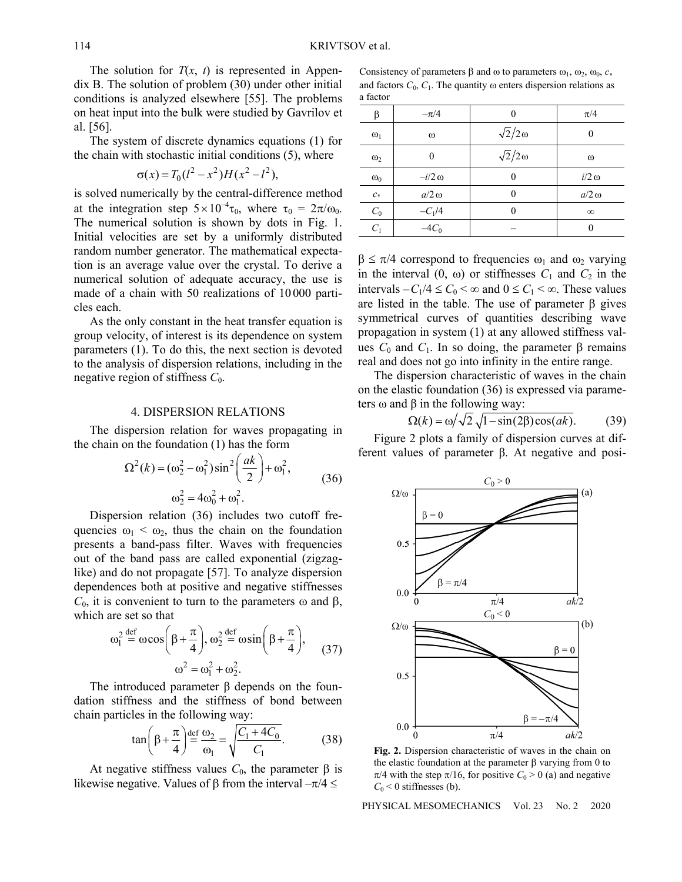The solution for  $T(x, t)$  is represented in Appendix B. The solution of problem (30) under other initial conditions is analyzed elsewhere [55]. The problems on heat input into the bulk were studied by Gavrilov et al. [56].

The system of discrete dynamics equations (1) for the chain with stochastic initial conditions (5), where

$$
\sigma(x) = T_0(l^2 - x^2)H(x^2 - l^2),
$$

is solved numerically by the central-difference method at the integration step  $5\times10^{-4}\tau_0$ , where  $\tau_0 = 2\pi/\omega_0$ . The numerical solution is shown by dots in Fig. 1. Initial velocities are set by a uniformly distributed random number generator. The mathematical expectation is an average value over the crystal. To derive a numerical solution of adequate accuracy, the use is made of a chain with 50 realizations of 10 000 particles each.

As the only constant in the heat transfer equation is group velocity, of interest is its dependence on system parameters (1). To do this, the next section is devoted to the analysis of dispersion relations, including in the negative region of stiffness *C*0.

#### 4. DISPERSION RELATIONS

The dispersion relation for waves propagating in the chain on the foundation (1) has the form

$$
\Omega^{2}(k) = (\omega_{2}^{2} - \omega_{1}^{2})\sin^{2}\left(\frac{ak}{2}\right) + \omega_{1}^{2},
$$
  

$$
\omega_{2}^{2} = 4\omega_{0}^{2} + \omega_{1}^{2}.
$$
 (36)

Dispersion relation (36) includes two cutoff frequencies  $\omega_1 < \omega_2$ , thus the chain on the foundation presents a band-pass filter. Waves with frequencies out of the band pass are called exponential (zigzaglike) and do not propagate [57]. To analyze dispersion dependences both at positive and negative stiffnesses  $C_0$ , it is convenient to turn to the parameters  $\omega$  and  $\beta$ , which are set so that

$$
\omega_1^2 \stackrel{\text{def}}{=} \omega \cos\left(\beta + \frac{\pi}{4}\right), \omega_2^2 \stackrel{\text{def}}{=} \omega \sin\left(\beta + \frac{\pi}{4}\right),\qquad(37)
$$

$$
\omega^2 = \omega_1^2 + \omega_2^2.
$$

The introduced parameter β depends on the foundation stiffness and the stiffness of bond between chain particles in the following way:

$$
\tan\left(\beta + \frac{\pi}{4}\right) \stackrel{\text{def}}{=} \frac{\omega_2}{\omega_1} = \sqrt{\frac{C_1 + 4C_0}{C_1}}.
$$
 (38)

At negative stiffness values  $C_0$ , the parameter  $\beta$  is likewise negative. Values of  $\beta$  from the interval  $-\pi/4 \leq$ 

Consistency of parameters  $\beta$  and  $\omega$  to parameters  $\omega_1$ ,  $\omega_2$ ,  $\omega_0$ ,  $c_*$ and factors  $C_0$ ,  $C_1$ . The quantity  $\omega$  enters dispersion relations as a factor

| β          | $-\pi/4$        |                    | $\pi/4$      |
|------------|-----------------|--------------------|--------------|
| $\omega_1$ | $\omega$        | $\sqrt{2}/2\omega$ |              |
| $\omega$   | 0               | $\sqrt{2}/2\omega$ | $\omega$     |
| $\omega_0$ | $-i/2$ $\omega$ |                    | $i/2 \omega$ |
| $c*$       | $a/2\omega$     |                    | $a/2 \omega$ |
| $C_0$      | $-C_1/4$        |                    | $\infty$     |
| $C_1$      | $-4C_0$         |                    |              |

 $\beta \leq \pi/4$  correspond to frequencies  $\omega_1$  and  $\omega_2$  varying in the interval  $(0, \omega)$  or stiffnesses  $C_1$  and  $C_2$  in the intervals  $-C_1/4 \leq C_0 < \infty$  and  $0 \leq C_1 < \infty$ . These values are listed in the table. The use of parameter  $\beta$  gives symmetrical curves of quantities describing wave propagation in system (1) at any allowed stiffness values  $C_0$  and  $C_1$ . In so doing, the parameter  $\beta$  remains real and does not go into infinity in the entire range.

The dispersion characteristic of waves in the chain on the elastic foundation (36) is expressed via parameters ω and β in the following way:

$$
\Omega(k) = \omega / \sqrt{2} \sqrt{1 - \sin(2\beta)\cos(ak)}.
$$
 (39)

Figure 2 plots a family of dispersion curves at different values of parameter β. At negative and posi-



**Fig. 2.** Dispersion characteristic of waves in the chain on the elastic foundation at the parameter  $\beta$  varying from 0 to  $\pi/4$  with the step  $\pi/16$ , for positive  $C_0 > 0$  (a) and negative  $C_0$  < 0 stiffnesses (b).

PHYSICAL MESOMECHANICS Vol. 23 No. 2 2020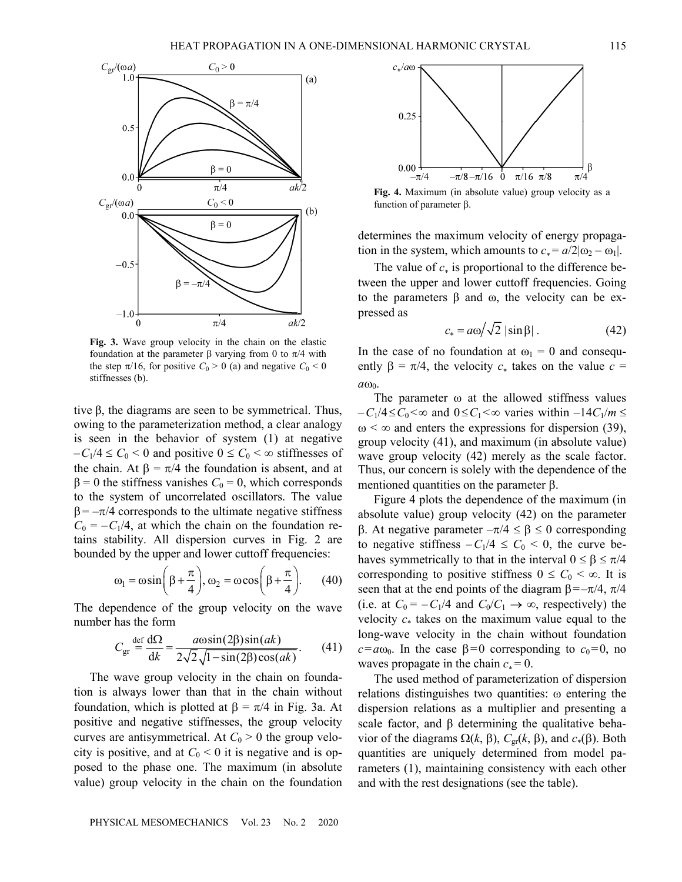$c_{\ast}/a\omega$ 



**Fig. 3.** Wave group velocity in the chain on the elastic foundation at the parameter β varying from 0 to  $\pi/4$  with the step  $\pi/16$ , for positive  $C_0 > 0$  (a) and negative  $C_0 < 0$ stiffnesses (b).

tive β, the diagrams are seen to be symmetrical. Thus, owing to the parameterization method, a clear analogy is seen in the behavior of system (1) at negative  $-C_1/4 \le C_0 < 0$  and positive  $0 \le C_0 < \infty$  stiffnesses of the chain. At  $\beta = \pi/4$  the foundation is absent, and at  $β = 0$  the stiffness vanishes  $C_0 = 0$ , which corresponds to the system of uncorrelated oscillators. The value  $\beta = -\pi/4$  corresponds to the ultimate negative stiffness  $C_0 = -C_1/4$ , at which the chain on the foundation retains stability. All dispersion curves in Fig. 2 are bounded by the upper and lower cuttoff frequencies:

$$
\omega_1 = \omega \sin\left(\beta + \frac{\pi}{4}\right), \omega_2 = \omega \cos\left(\beta + \frac{\pi}{4}\right).
$$
 (40)

The dependence of the group velocity on the wave number has the form

$$
C_{\rm gr} \stackrel{\rm def}{=} \frac{\mathrm{d}\Omega}{\mathrm{d}k} = \frac{a\omega\sin(2\beta)\sin(ak)}{2\sqrt{2}\sqrt{1-\sin(2\beta)\cos(ak)}}.\tag{41}
$$

The wave group velocity in the chain on foundation is always lower than that in the chain without foundation, which is plotted at  $\beta = \pi/4$  in Fig. 3a. At positive and negative stiffnesses, the group velocity curves are antisymmetrical. At  $C_0 > 0$  the group velocity is positive, and at  $C_0 < 0$  it is negative and is opposed to the phase one. The maximum (in absolute value) group velocity in the chain on the foundation



determines the maximum velocity of energy propagation in the system, which amounts to  $c_* = a/2|\omega_2 - \omega_1|$ .

The value of  $c_*$  is proportional to the difference between the upper and lower cuttoff frequencies. Going to the parameters β and ω, the velocity can be expressed as

$$
c_* = a\omega/\sqrt{2} |\sin \beta| \,. \tag{42}
$$

In the case of no foundation at  $\omega_1 = 0$  and consequently  $\beta = \pi/4$ , the velocity  $c_*$  takes on the value  $c =$  $a\omega_0$ .

The parameter  $\omega$  at the allowed stiffness values  $-C_1/4 \le C_0 \le \infty$  and  $0 \le C_1 \le \infty$  varies within  $-14C_1/m \le$  $\omega < \infty$  and enters the expressions for dispersion (39), group velocity (41), and maximum (in absolute value) wave group velocity (42) merely as the scale factor. Thus, our concern is solely with the dependence of the mentioned quantities on the parameter  $\beta$ .

Figure 4 plots the dependence of the maximum (in absolute value) group velocity (42) on the parameter β. At negative parameter  $-π/4 ≤ β ≤ 0$  corresponding to negative stiffness  $-C_1/4 \leq C_0 \leq 0$ , the curve behaves symmetrically to that in the interval  $0 \le \beta \le \pi/4$ corresponding to positive stiffness  $0 \leq C_0 < \infty$ . It is seen that at the end points of the diagram  $\beta = -\pi/4$ ,  $\pi/4$ (i.e. at  $C_0 = -C_1/4$  and  $C_0/C_1 \rightarrow \infty$ , respectively) the velocity  $c_*$  takes on the maximum value equal to the long-wave velocity in the chain without foundation  $c = a\omega_0$ . In the case  $\beta = 0$  corresponding to  $c_0 = 0$ , no waves propagate in the chain  $c_* = 0$ .

The used method of parameterization of dispersion relations distinguishes two quantities: ω entering the dispersion relations as a multiplier and presenting a scale factor, and  $\beta$  determining the qualitative behavior of the diagrams  $\Omega(k, \beta)$ ,  $C_{\text{gr}}(k, \beta)$ , and  $c_*(\beta)$ . Both quantities are uniquely determined from model parameters (1), maintaining consistency with each other and with the rest designations (see the table).

β

 $\pi/4$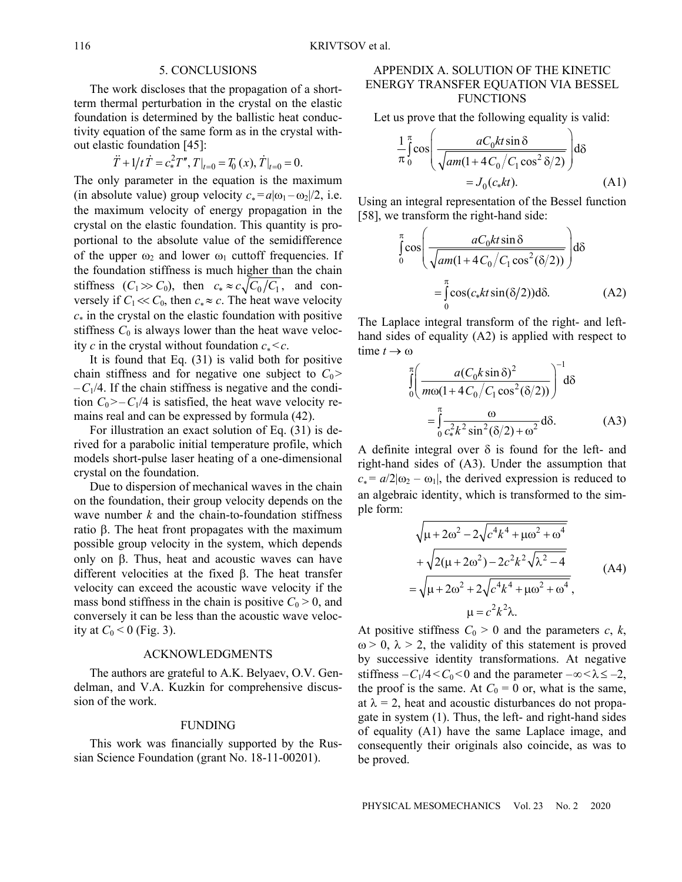#### 5. CONCLUSIONS

The work discloses that the propagation of a shortterm thermal perturbation in the crystal on the elastic foundation is determined by the ballistic heat conductivity equation of the same form as in the crystal without elastic foundation [45]:

$$
\ddot{T} + 1/t \dot{T} = c_*^2 T'', T|_{t=0} = T_0(x), \dot{T}|_{t=0} = 0.
$$

The only parameter in the equation is the maximum (in absolute value) group velocity  $c_* = a|\omega_1 - \omega_2|/2$ , i.e. the maximum velocity of energy propagation in the crystal on the elastic foundation. This quantity is proportional to the absolute value of the semidifference of the upper  $\omega_2$  and lower  $\omega_1$  cuttoff frequencies. If the foundation stiffness is much higher than the chain stiffness  $(C_1 \gg C_0)$ , then  $c_* \approx c \sqrt{C_0/C_1}$ , and conversely if  $C_1 \ll C_0$ , then  $c_* \approx c$ . The heat wave velocity  $c_*$  in the crystal on the elastic foundation with positive stiffness  $C_0$  is always lower than the heat wave velocity *c* in the crystal without foundation  $c_* < c$ .

It is found that Eq. (31) is valid both for positive chain stiffness and for negative one subject to  $C_0$  $-C_1/4$ . If the chain stiffness is negative and the condition  $C_0$ >- $C_1/4$  is satisfied, the heat wave velocity remains real and can be expressed by formula (42).

For illustration an exact solution of Eq. (31) is derived for a parabolic initial temperature profile, which models short-pulse laser heating of a one-dimensional crystal on the foundation.

Due to dispersion of mechanical waves in the chain on the foundation, their group velocity depends on the wave number *k* and the chain-to-foundation stiffness ratio  $\beta$ . The heat front propagates with the maximum possible group velocity in the system, which depends only on  $\beta$ . Thus, heat and acoustic waves can have different velocities at the fixed  $\beta$ . The heat transfer velocity can exceed the acoustic wave velocity if the mass bond stiffness in the chain is positive  $C_0 > 0$ , and conversely it can be less than the acoustic wave velocity at  $C_0 < 0$  (Fig. 3).

## ACKNOWLEDGMENTS

The authors are grateful to A.K. Belyaev, O.V. Gendelman, and V.A. Kuzkin for comprehensive discussion of the work.

#### FUNDING

This work was financially supported by the Russian Science Foundation (grant No. 18-11-00201).

## APPENDIX A. SOLUTION OF THE KINETIC ENERGY TRANSFER EQUATION VIA BESSEL FUNCTIONS

Let us prove that the following equality is valid:

$$
\frac{1}{\pi} \int_{0}^{\pi} \cos \left( \frac{aC_0kt \sin \delta}{\sqrt{am(1 + 4C_0/C_1 \cos^2 \delta/2)}} \right) d\delta
$$

$$
= J_0(c_*kt). \tag{A1}
$$

Using an integral representation of the Bessel function [58], we transform the right-hand side:

$$
\int_{0}^{\pi} \cos \left( \frac{aC_0kt \sin \delta}{\sqrt{am(1 + 4C_0/C_1 \cos^2(\delta/2))}} \right) d\delta
$$
  
= 
$$
\int_{0}^{\pi} \cos(c_*kt \sin(\delta/2)) d\delta.
$$
 (A2)

The Laplace integral transform of the right- and lefthand sides of equality (A2) is applied with respect to time  $t \to \omega$ <br> $\pi$   $\left(\frac{\pi (C \cdot k \sin \delta)^2}{2C} \right)^{-1}$ 

$$
\int_{0}^{\pi} \left( \frac{a(C_0 k \sin \delta)^2}{m\omega(1 + 4C_0/C_1 \cos^2(\delta/2))} \right)^{-1} d\delta
$$

$$
= \int_{0}^{\pi} \frac{\omega}{c_*^2 k^2 \sin^2(\delta/2) + \omega^2} d\delta. \tag{A3}
$$

A definite integral over  $\delta$  is found for the left- and right-hand sides of (A3). Under the assumption that  $c_* = a/2|\omega_2 - \omega_1|$ , the derived expression is reduced to an algebraic identity, which is transformed to the simple form:

$$
\sqrt{\mu + 2\omega^2 - 2\sqrt{c^4 k^4 + \mu \omega^2 + \omega^4}}
$$
  
+ 
$$
\sqrt{2(\mu + 2\omega^2) - 2c^2 k^2 \sqrt{\lambda^2 - 4}}
$$
  
= 
$$
\sqrt{\mu + 2\omega^2 + 2\sqrt{c^4 k^4 + \mu \omega^2 + \omega^4}}
$$
  

$$
\mu = c^2 k^2 \lambda.
$$
 (A4)

At positive stiffness  $C_0 > 0$  and the parameters  $c, k$ ,  $\omega > 0$ ,  $\lambda > 2$ , the validity of this statement is proved by successive identity transformations. At negative stiffness  $-C_1/4 < C_0 < 0$  and the parameter  $-\infty < \lambda \le -2$ , the proof is the same. At  $C_0 = 0$  or, what is the same, at  $\lambda = 2$ , heat and acoustic disturbances do not propagate in system (1). Thus, the left- and right-hand sides of equality (A1) have the same Laplace image, and consequently their originals also coincide, as was to be proved.

PHYSICAL MESOMECHANICS Vol. 23 No. 2 2020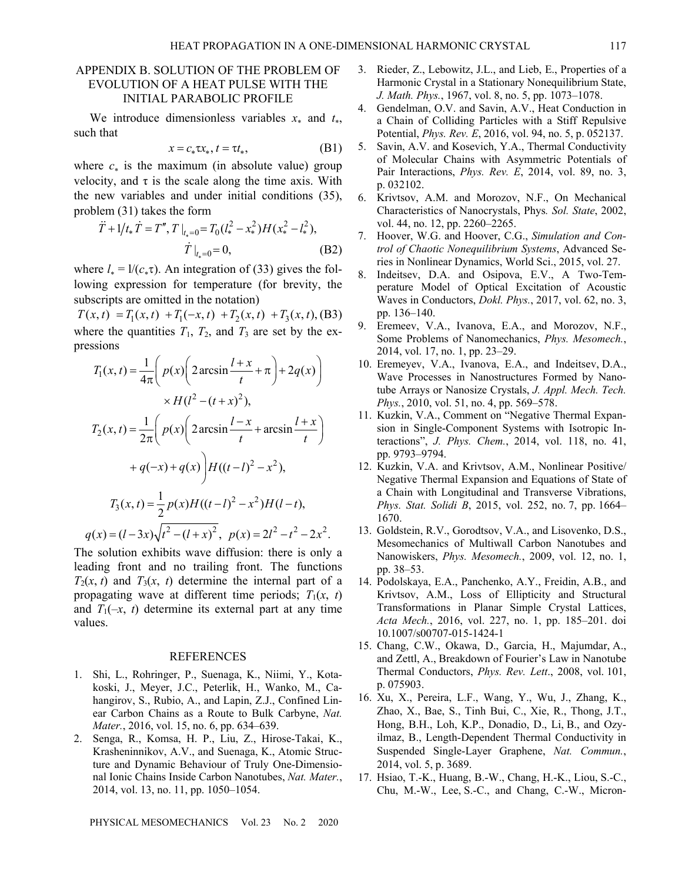## APPENDIX B. SOLUTION OF THE PROBLEM OF EVOLUTION OF A HEAT PULSE WITH THE INITIAL PARABOLIC PROFILE

We introduce dimensionless variables  $x_*$  and  $t_*$ , such that

$$
x = c_* \tau x_*, t = \tau t_*, \tag{B1}
$$

where  $c_*$  is the maximum (in absolute value) group velocity, and  $\tau$  is the scale along the time axis. With the new variables and under initial conditions (35), problem (31) takes the form

$$
\ddot{T} + 1/t_* \dot{T} = T'', T \big|_{t_*=0} = T_0 (l_*^2 - x_*^2) H (x_*^2 - l_*^2),
$$
  

$$
\dot{T} \big|_{t_*=0} = 0,
$$
 (B2)

where  $l_* = 1/(c_*\tau)$ . An integration of (33) gives the following expression for temperature (for brevity, the subscripts are omitted in the notation)

 $T(x,t) = T_1(x,t) + T_1(-x,t) + T_2(x,t) + T_3(x,t)$ , (B3) where the quantities  $T_1$ ,  $T_2$ , and  $T_3$  are set by the expressions

$$
T_1(x,t) = \frac{1}{4\pi} \left( p(x) \left( 2 \arcsin \frac{l+x}{t} + \pi \right) + 2q(x) \right)
$$
  

$$
\times H(l^2 - (t+x)^2),
$$
  

$$
T_2(x,t) = \frac{1}{2\pi} \left( p(x) \left( 2 \arcsin \frac{l-x}{t} + \arcsin \frac{l+x}{t} \right) + q(-x) + q(x) \right) H((t-l)^2 - x^2),
$$
  

$$
T_3(x,t) = \frac{1}{2} p(x) H((t-l)^2 - x^2) H(l-t),
$$
  

$$
q(x) = (l-3x)\sqrt{t^2 - (l+x)^2}, \quad p(x) = 2l^2 - t^2 - 2x^2.
$$

The solution exhibits wave diffusion: there is only a leading front and no trailing front. The functions  $T_2(x, t)$  and  $T_3(x, t)$  determine the internal part of a propagating wave at different time periods;  $T_1(x, t)$ and  $T_1(-x, t)$  determine its external part at any time values.

#### REFERENCES

- 1. Shi, L., Rohringer, P., Suenaga, K., Niimi, Y., Kotakoski, J., Meyer, J.C., Peterlik, H., Wanko, M., Cahangirov, S., Rubio, A., and Lapin, Z.J., Confined Linear Carbon Chains as a Route to Bulk Carbyne, *Nat. Mater.*, 2016, vol. 15, no. 6, pp. 634–639.
- 2. Senga, R., Komsa, H. P., Liu, Z., Hirose-Takai, K., Krasheninnikov, A.V., and Suenaga, K., Atomic Structure and Dynamic Behaviour of Truly One-Dimensional Ionic Chains Inside Carbon Nanotubes, *Nat. Mater.*, 2014, vol. 13, no. 11, pp. 1050–1054.
- 3. Rieder, Z., Lebowitz, J.L., and Lieb, E., Properties of a Harmonic Crystal in a Stationary Nonequilibrium State, *J. Math. Phys.*, 1967, vol. 8, no. 5, pp. 1073–1078.
- 4. Gendelman, O.V. and Savin, A.V., Heat Conduction in a Chain of Colliding Particles with a Stiff Repulsive Potential, *Phys. Rev. E*, 2016, vol. 94, no. 5, p. 052137.
- 5. Savin, A.V. and Kosevich, Y.A., Thermal Conductivity of Molecular Chains with Asymmetric Potentials of Pair Interactions, *Phys. Rev. E*, 2014, vol. 89, no. 3, p. 032102.
- 6. Krivtsov, A.M. and Morozov, N.F., On Mechanical Characteristics of Nanocrystals, Phys*. Sol. State*, 2002, vol. 44, no. 12, pp. 2260–2265.
- 7. Hoover, W.G. and Hoover, C.G., *Simulation and Control of Chaotic Nonequilibrium Systems*, Advanced Series in Nonlinear Dynamics, World Sci., 2015, vol. 27.
- 8. Indeitsev, D.A. and Osipova, E.V., A Two-Temperature Model of Optical Excitation of Acoustic Waves in Conductors, *Dokl. Phys.*, 2017, vol. 62, no. 3, pp. 136–140.
- 9. Eremeev, V.A., Ivanova, E.A., and Morozov, N.F., Some Problems of Nanomechanics, *Phys. Mesomech.*, 2014, vol. 17, no. 1, pp. 23–29.
- 10. Eremeyev, V.A., Ivanova, E.A., and Indeitsev, D.A., Wave Processes in Nanostructures Formed by Nanotube Arrays or Nanosize Crystals, *J. Appl. Mech. Tech. Phys.*, 2010, vol. 51, no. 4, pp. 569–578.
- 11. Kuzkin, V.A., Comment on "Negative Thermal Expansion in Single-Component Systems with Isotropic Interactions", *J. Phys. Chem.*, 2014, vol. 118, no. 41, pp. 9793–9794.
- 12. Kuzkin, V.A. and Krivtsov, A.M., Nonlinear Positive/ Negative Thermal Expansion and Equations of State of a Chain with Longitudinal and Transverse Vibrations, *Phys. Stat. Solidi B*, 2015, vol. 252, no. 7, pp. 1664– 1670.
- 13. Goldstein, R.V., Gorodtsov, V.A., and Lisovenko, D.S., Mesomechanics of Multiwall Carbon Nanotubes and Nanowiskers, *Phys. Mesomech.*, 2009, vol. 12, no. 1, pp. 38–53.
- 14. Podolskaya, E.A., Panchenko, A.Y., Freidin, A.B., and Krivtsov, A.M., Loss of Ellipticity and Structural Transformations in Planar Simple Crystal Lattices, *Acta Mech.*, 2016, vol. 227, no. 1, pp. 185–201. doi 10.1007/s00707-015-1424-1
- 15. Chang, C.W., Okawa, D., Garcia, H., Majumdar, A., and Zettl, A., Breakdown of Fourier's Law in Nanotube Thermal Conductors, *Phys. Rev. Lett*., 2008, vol. 101, p. 075903.
- 16. Xu, X., Pereira, L.F., Wang, Y., Wu, J., Zhang, K., Zhao, X., Bae, S., Tinh Bui, C., Xie, R., Thong, J.T., Hong, B.H., Loh, K.P., Donadio, D., Li, B., and Ozyilmaz, B., Length-Dependent Thermal Conductivity in Suspended Single-Layer Graphene, *Nat. Commun.*, 2014, vol. 5, p. 3689.
- 17. Hsiao, T.-K., Huang, B.-W., Chang, H.-K., Liou, S.-C., Chu, M.-W., Lee, S.-C., and Chang, C.-W., Micron-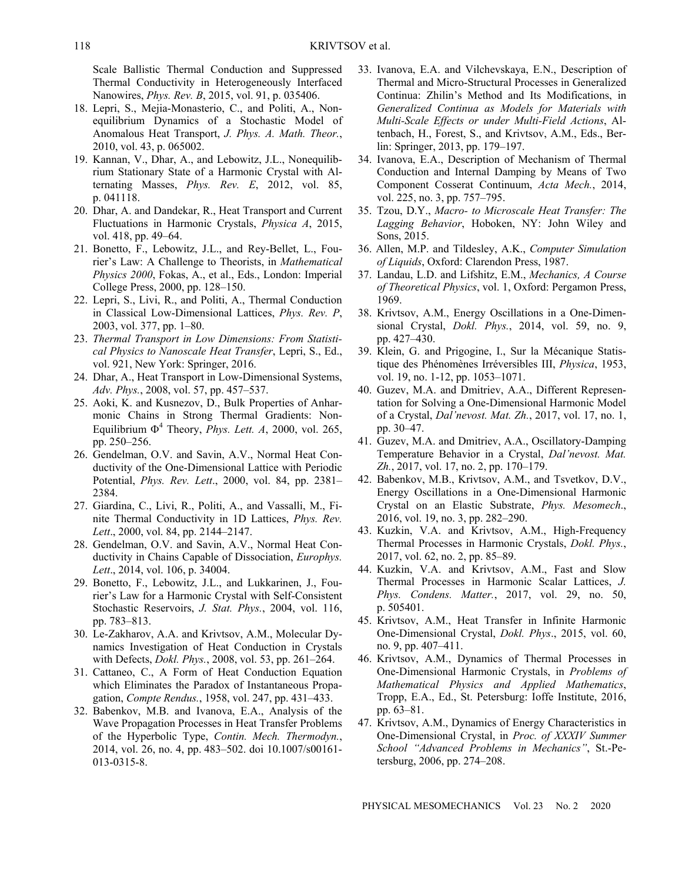Scale Ballistic Thermal Conduction and Suppressed Thermal Conductivity in Heterogeneously Interfaced Nanowires, *Phys. Rev. B*, 2015, vol. 91, p. 035406.

- 18. Lepri, S., Mejia-Monasterio, C., and Politi, A., Nonequilibrium Dynamics of a Stochastic Model of Anomalous Heat Transport, *J. Phys. A. Math. Theor.*, 2010, vol. 43, p. 065002.
- 19. Kannan, V., Dhar, A., and Lebowitz, J.L., Nonequilibrium Stationary State of a Harmonic Crystal with Alternating Masses, *Phys. Rev. E*, 2012, vol. 85, p. 041118.
- 20. Dhar, A. and Dandekar, R., Heat Transport and Current Fluctuations in Harmonic Crystals, *Physica A*, 2015, vol. 418, pp. 49–64.
- 21. Bonetto, F., Lebowitz, J.L., and Rey-Bellet, L., Fourier's Law: A Challenge to Theorists, in *Mathematical Physics 2000*, Fokas, A., et al., Eds., London: Imperial College Press, 2000, pp. 128–150.
- 22. Lepri, S., Livi, R., and Politi, A., Thermal Conduction in Classical Low-Dimensional Lattices, *Phys. Rev. P*, 2003, vol. 377, pp. 1–80.
- 23. *Thermal Transport in Low Dimensions: From Statistical Physics to Nanoscale Heat Transfer*, Lepri, S., Ed., vol. 921, New York: Springer, 2016.
- 24. Dhar, A., Heat Transport in Low-Dimensional Systems, *Adv. Phys.*, 2008, vol. 57, pp. 457–537.
- 25. Aoki, K. and Kusnezov, D., Bulk Properties of Anharmonic Chains in Strong Thermal Gradients: Non-Equilibrium  $\Phi^4$  Theory, *Phys. Lett. A*, 2000, vol. 265, pp. 250–256.
- 26. Gendelman, O.V. and Savin, A.V., Normal Heat Conductivity of the One-Dimensional Lattice with Periodic Potential, *Phys. Rev. Lett*., 2000, vol. 84, pp. 2381– 2384.
- 27. Giardina, C., Livi, R., Politi, A., and Vassalli, M., Finite Thermal Conductivity in 1D Lattices, *Phys. Rev. Lett*., 2000, vol. 84, pp. 2144–2147.
- 28. Gendelman, O.V. and Savin, A.V., Normal Heat Conductivity in Chains Capable of Dissociation, *Europhys. Lett*., 2014, vol. 106, p. 34004.
- 29. Bonetto, F., Lebowitz, J.L., and Lukkarinen, J., Fourier's Law for a Harmonic Crystal with Self-Consistent Stochastic Reservoirs, *J. Stat. Phys.*, 2004, vol. 116, pp. 783–813.
- 30. Le-Zakharov, A.A. and Krivtsov, A.M., Molecular Dynamics Investigation of Heat Conduction in Crystals with Defects, *Dokl. Phys.*, 2008, vol. 53, pp. 261–264.
- 31. Cattaneo, C., A Form of Heat Conduction Equation which Eliminates the Paradox of Instantaneous Propagation, *Compte Rendus.*, 1958, vol. 247, pp. 431–433.
- 32. Babenkov, M.B. and Ivanova, E.A., Analysis of the Wave Propagation Processes in Heat Transfer Problems of the Hyperbolic Type, *Contin. Mech. Thermodyn.*, 2014, vol. 26, no. 4, pp. 483–502. doi 10.1007/s00161- 013-0315-8.
- 33. Ivanova, E.A. and Vilchevskaya, E.N., Description of Thermal and Micro-Structural Processes in Generalized Continua: Zhilin's Method and Its Modifications, in *Generalized Continua as Models for Materials with Multi-Scale Effects or under Multi-Field Actions*, Altenbach, H., Forest, S., and Krivtsov, A.M., Eds., Berlin: Springer, 2013, pp. 179–197.
- 34. Ivanova, E.A., Description of Mechanism of Thermal Conduction and Internal Damping by Means of Two Component Cosserat Continuum, *Acta Mech.*, 2014, vol. 225, no. 3, pp. 757–795.
- 35. Tzou, D.Y., *Macro- to Microscale Heat Transfer: The Lagging Behavior*, Hoboken, NY: John Wiley and Sons, 2015.
- 36. Allen, M.P. and Tildesley, A.K., *Computer Simulation of Liquids*, Oxford: Clarendon Press, 1987.
- 37. Landau, L.D. and Lifshitz, E.M., *Mechanics, A Course of Theoretical Physics*, vol. 1, Oxford: Pergamon Press, 1969.
- 38. Krivtsov, A.M., Energy Oscillations in a One-Dimensional Crystal, *Dokl. Phys.*, 2014, vol. 59, no. 9, pp. 427–430.
- 39. Klein, G. and Prigogine, I., Sur la Mécanique Statistique des Phénomènes Irréversibles III, *Physica*, 1953, vol. 19, no. 1-12, pp. 1053–1071.
- 40. Guzev, M.A. and Dmitriev, A.A., Different Representation for Solving a One-Dimensional Harmonic Model of a Crystal, *Dal'nevost. Mat. Zh.*, 2017, vol. 17, no. 1, pp. 30–47.
- 41. Guzev, M.A. and Dmitriev, A.A., Oscillatory-Damping Temperature Behavior in a Crystal, *Dal'nevost. Mat. Zh.*, 2017, vol. 17, no. 2, pp. 170–179.
- 42. Babenkov, M.B., Krivtsov, A.M., and Tsvetkov, D.V., Energy Oscillations in a One-Dimensional Harmonic Crystal on an Elastic Substrate, *Phys. Mesomech*., 2016, vol. 19, no. 3, pp. 282–290.
- 43. Kuzkin, V.A. and Krivtsov, A.M., High-Frequency Thermal Processes in Harmonic Crystals, *Dokl. Phys.*, 2017, vol. 62, no. 2, pp. 85–89.
- 44. Kuzkin, V.A. and Krivtsov, A.M., Fast and Slow Thermal Processes in Harmonic Scalar Lattices, *J. Phys. Condens. Matter.*, 2017, vol. 29, no. 50, p. 505401.
- 45. Krivtsov, A.M., Heat Transfer in Infinite Harmonic One-Dimensional Crystal, *Dokl. Phys*., 2015, vol. 60, no. 9, pp. 407–411.
- 46. Krivtsov, A.M., Dynamics of Thermal Processes in One-Dimensional Harmonic Crystals, in *Problems of Mathematical Physics and Applied Mathematics*, Tropp, E.A., Ed., St. Petersburg: Ioffe Institute, 2016, pp. 63–81.
- 47. Krivtsov, A.M., Dynamics of Energy Characteristics in One-Dimensional Crystal, in *Proc. of XXXIV Summer School "Advanced Problems in Mechanics"*, St.-Petersburg, 2006, pp. 274–208.

PHYSICAL MESOMECHANICS Vol. 23 No. 2 2020